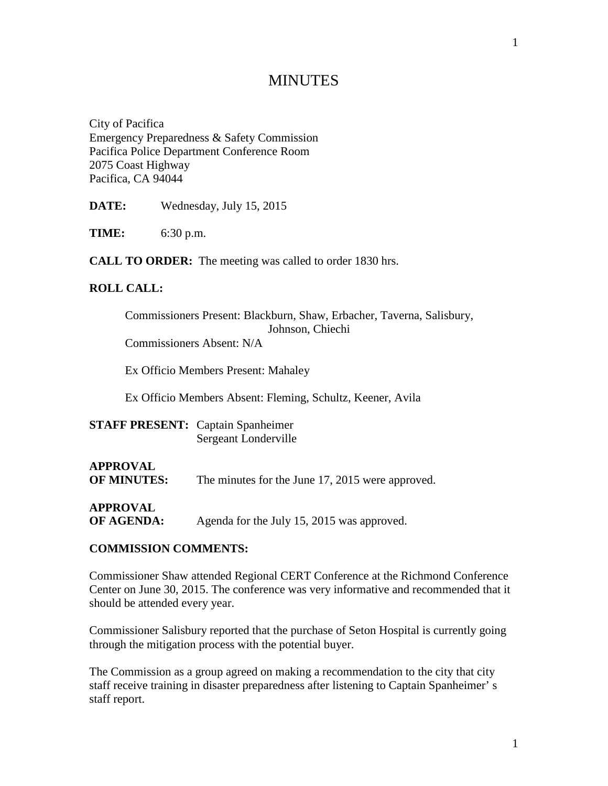# **MINUTES**

City of Pacifica Emergency Preparedness & Safety Commission Pacifica Police Department Conference Room 2075 Coast Highway Pacifica, CA 94044

**DATE:** Wednesday, July 15, 2015

**TIME:** 6:30 p.m.

**CALL TO ORDER:** The meeting was called to order 1830 hrs.

#### **ROLL CALL:**

| Commissioners Present: Blackburn, Shaw, Erbacher, Taverna, Salisbury, |                  |  |  |
|-----------------------------------------------------------------------|------------------|--|--|
|                                                                       | Johnson, Chiechi |  |  |
| Commissioners Absent: N/A                                             |                  |  |  |

Ex Officio Members Present: Mahaley

Ex Officio Members Absent: Fleming, Schultz, Keener, Avila

| <b>STAFF PRESENT:</b> Captain Spanheimer |                      |
|------------------------------------------|----------------------|
|                                          | Sergeant Londerville |

# **APPROVAL**

**OF MINUTES:** The minutes for the June 17, 2015 were approved.

**APPROVAL**

**OF AGENDA:** Agenda for the July 15, 2015 was approved.

#### **COMMISSION COMMENTS:**

Commissioner Shaw attended Regional CERT Conference at the Richmond Conference Center on June 30, 2015. The conference was very informative and recommended that it should be attended every year.

Commissioner Salisbury reported that the purchase of Seton Hospital is currently going through the mitigation process with the potential buyer.

The Commission as a group agreed on making a recommendation to the city that city staff receive training in disaster preparedness after listening to Captain Spanheimer' s staff report.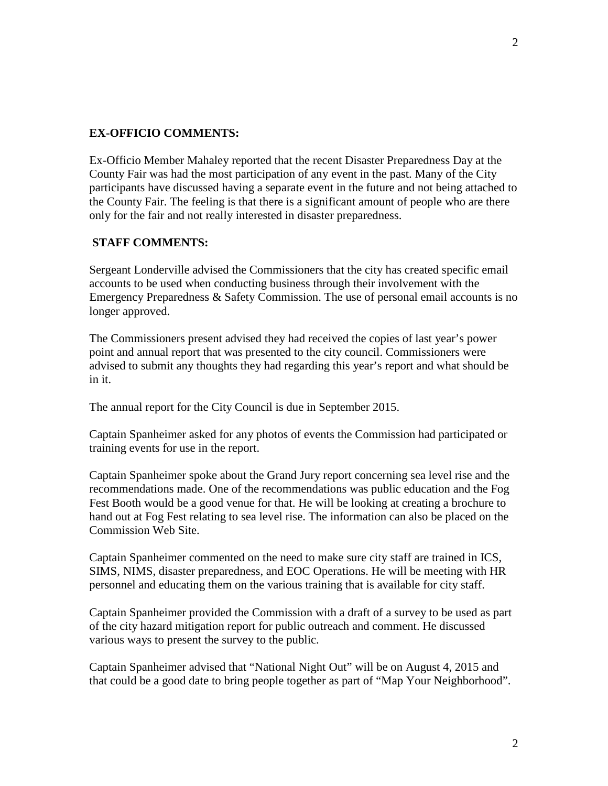### **EX-OFFICIO COMMENTS:**

Ex-Officio Member Mahaley reported that the recent Disaster Preparedness Day at the County Fair was had the most participation of any event in the past. Many of the City participants have discussed having a separate event in the future and not being attached to the County Fair. The feeling is that there is a significant amount of people who are there only for the fair and not really interested in disaster preparedness.

#### **STAFF COMMENTS:**

Sergeant Londerville advised the Commissioners that the city has created specific email accounts to be used when conducting business through their involvement with the Emergency Preparedness & Safety Commission. The use of personal email accounts is no longer approved.

The Commissioners present advised they had received the copies of last year's power point and annual report that was presented to the city council. Commissioners were advised to submit any thoughts they had regarding this year's report and what should be in it.

The annual report for the City Council is due in September 2015.

Captain Spanheimer asked for any photos of events the Commission had participated or training events for use in the report.

Captain Spanheimer spoke about the Grand Jury report concerning sea level rise and the recommendations made. One of the recommendations was public education and the Fog Fest Booth would be a good venue for that. He will be looking at creating a brochure to hand out at Fog Fest relating to sea level rise. The information can also be placed on the Commission Web Site.

Captain Spanheimer commented on the need to make sure city staff are trained in ICS, SIMS, NIMS, disaster preparedness, and EOC Operations. He will be meeting with HR personnel and educating them on the various training that is available for city staff.

Captain Spanheimer provided the Commission with a draft of a survey to be used as part of the city hazard mitigation report for public outreach and comment. He discussed various ways to present the survey to the public.

Captain Spanheimer advised that "National Night Out" will be on August 4, 2015 and that could be a good date to bring people together as part of "Map Your Neighborhood".